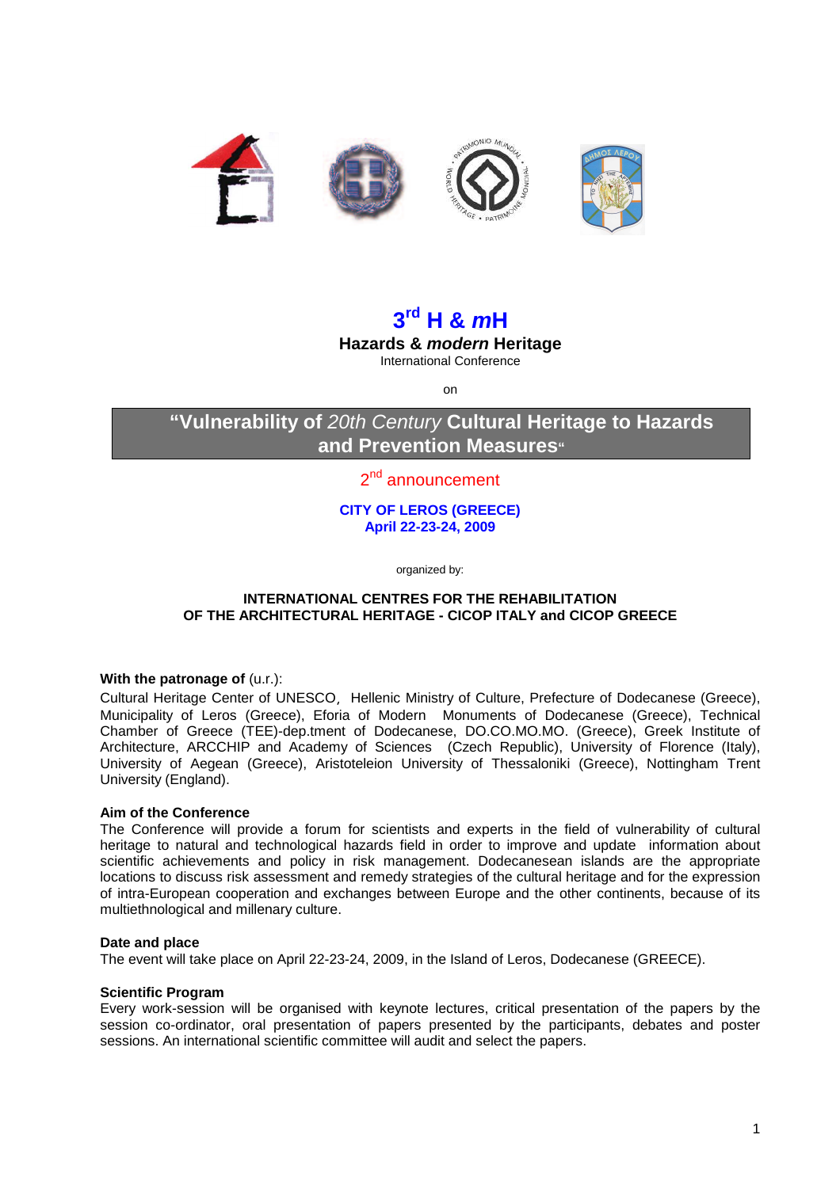

# **3 rd H & mH**

**Hazards & modern Heritage**  International Conference

on

# **"Vulnerability of** 20th Century **Cultural Heritage to Hazards and Prevention Measures"**

# 2<sup>nd</sup> announcement

**CITY OF LEROS (GREECE) April 22-23-24, 2009** 

organized by:

# **INTERNATIONAL CENTRES FOR THE REHABILITATION OF THE ARCHITECTURAL HERITAGE - CICOP ITALY and CICOP GREECE**

# **With the patronage of (u.r.):**

Cultural Heritage Center of UNESCO, Hellenic Ministry of Culture, Prefecture of Dodecanese (Greece), Municipality of Leros (Greece), Eforia of Modern Monuments of Dodecanese (Greece), Technical Chamber of Greece (TEE)-dep.tment of Dodecanese, DO.CO.MO.MO. (Greece), Greek Institute of Architecture, ARCCHIP and Academy of Sciences (Czech Republic), University of Florence (Italy), University of Aegean (Greece), Aristoteleion University of Thessaloniki (Greece), Nottingham Trent University (England).

# **Aim of the Conference**

The Conference will provide a forum for scientists and experts in the field of vulnerability of cultural heritage to natural and technological hazards field in order to improve and update information about scientific achievements and policy in risk management. Dodecanesean islands are the appropriate locations to discuss risk assessment and remedy strategies of the cultural heritage and for the expression of intra-European cooperation and exchanges between Europe and the other continents, because of its multiethnological and millenary culture.

# **Date and place**

The event will take place on April 22-23-24, 2009, in the Island of Leros, Dodecanese (GREECE).

#### **Scientific Program**

Every work-session will be organised with keynote lectures, critical presentation of the papers by the session co-ordinator, oral presentation of papers presented by the participants, debates and poster sessions. An international scientific committee will audit and select the papers.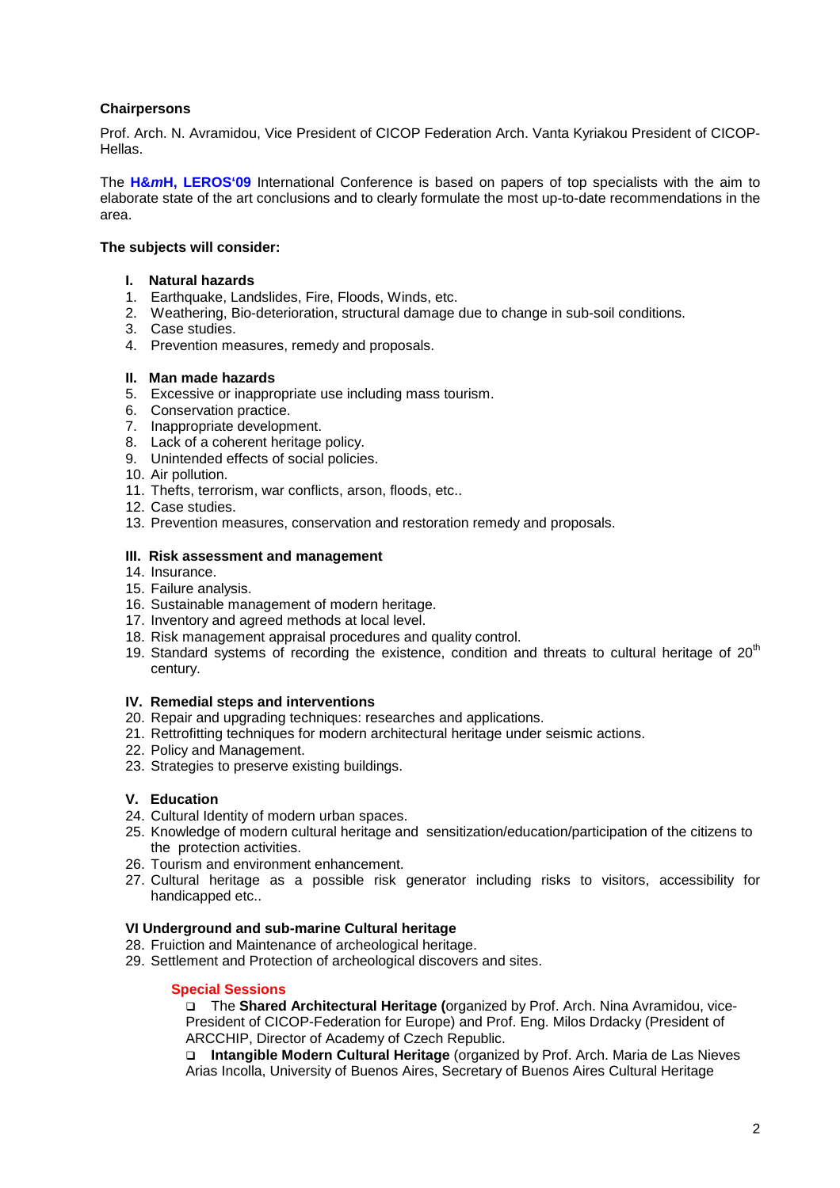# **Chairpersons**

Prof. Arch. N. Avramidou, Vice President of CICOP Federation Arch. Vanta Kyriakou President of CICOP-Hellas.

The **H&mH, LEROS'09** International Conference is based on papers of top specialists with the aim to elaborate state of the art conclusions and to clearly formulate the most up-to-date recommendations in the area.

# **The subjects will consider:**

- **I. Natural hazards**
- 1. Earthquake, Landslides, Fire, Floods, Winds, etc.
- 2. Weathering, Bio-deterioration, structural damage due to change in sub-soil conditions.
- 3. Case studies.
- 4. Prevention measures, remedy and proposals.

#### **II. Man made hazards**

- 5. Excessive or inappropriate use including mass tourism.
- 6. Conservation practice.
- 7. Inappropriate development.
- 8. Lack of a coherent heritage policy.
- 9. Unintended effects of social policies.
- 10. Air pollution.
- 11. Thefts, terrorism, war conflicts, arson, floods, etc..
- 12. Case studies.
- 13. Prevention measures, conservation and restoration remedy and proposals.

#### **III. Risk assessment and management**

- 14. Insurance.
- 15. Failure analysis.
- 16. Sustainable management of modern heritage.
- 17. Inventory and agreed methods at local level.
- 18. Risk management appraisal procedures and quality control.
- 19. Standard systems of recording the existence, condition and threats to cultural heritage of  $20<sup>th</sup>$ century.

# **IV. Remedial steps and interventions**

- 20. Repair and upgrading techniques: researches and applications.
- 21. Rettrofitting techniques for modern architectural heritage under seismic actions.
- 22. Policy and Management.
- 23. Strategies to preserve existing buildings.

# **V. Education**

- 24. Cultural Identity of modern urban spaces.
- 25. Knowledge of modern cultural heritage and sensitization/education/participation of the citizens to the protection activities.
- 26. Tourism and environment enhancement.
- 27. Cultural heritage as a possible risk generator including risks to visitors, accessibility for handicapped etc..

# **VI Underground and sub-marine Cultural heritage**

- 28. Fruiction and Maintenance of archeological heritage.
- 29. Settlement and Protection of archeological discovers and sites.

# **Special Sessions**

 The **Shared Architectural Heritage (**organized by Prof. Arch. Nina Avramidou, vice-President of CICOP-Federation for Europe) and Prof. Eng. Milos Drdacky (President of ARCCHIP, Director of Academy of Czech Republic.

 **Intangible Modern Cultural Heritage** (organized by Prof. Arch. Maria de Las Nieves Arias Incolla, University of Buenos Aires, Secretary of Buenos Aires Cultural Heritage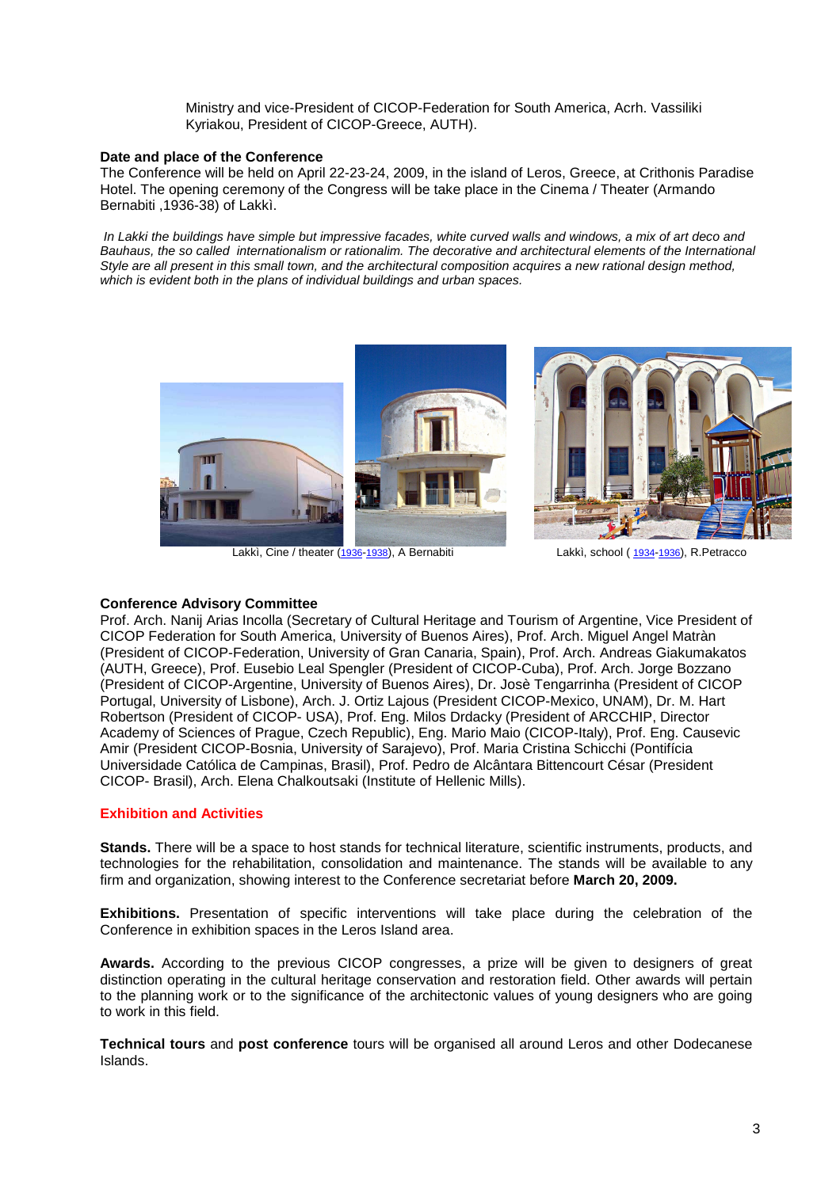Ministry and vice-President of CICOP-Federation for South America, Acrh. Vassiliki Kyriakou, President of CICOP-Greece, AUTH).

#### **Date and place of the Conference**

The Conference will be held on April 22-23-24, 2009, in the island of Leros, Greece, at Crithonis Paradise Hotel. The opening ceremony of the Congress will be take place in the Cinema / Theater (Armando Bernabiti ,1936-38) of Lakkì.

 In Lakki the buildings have simple but impressive facades, white curved walls and windows, a mix of art deco and Bauhaus, the so called internationalism or rationalim. The decorative and architectural elements of the International Style are all present in this small town, and the architectural composition acquires a new rational design method, which is evident both in the plans of individual buildings and urban spaces.



# **Conference Advisory Committee**

Prof. Arch. Nanij Arias Incolla (Secretary of Cultural Heritage and Tourism of Argentine, Vice President of CICOP Federation for South America, University of Buenos Aires), Prof. Arch. Miguel Angel Matràn (President of CICOP-Federation, University of Gran Canaria, Spain), Prof. Arch. Andreas Giakumakatos (AUTH, Greece), Prof. Eusebio Leal Spengler (President of CICOP-Cuba), Prof. Arch. Jorge Bozzano (President of CICOP-Argentine, University of Buenos Aires), Dr. Josè Tengarrinha (President of CICOP Portugal, University of Lisbone), Arch. J. Ortiz Lajous (President CICOP-Mexico, UNAM), Dr. M. Hart Robertson (President of CICOP- USA), Prof. Eng. Milos Drdacky (President of ARCCHIP, Director Academy of Sciences of Prague, Czech Republic), Eng. Mario Maio (CICOP-Italy), Prof. Eng. Causevic Amir (President CICOP-Bosnia, University of Sarajevo), Prof. Maria Cristina Schicchi (Pontifícia Universidade Católica de Campinas, Brasil), Prof. Pedro de Alcântara Bittencourt César (President CICOP- Brasil), Arch. Elena Chalkoutsaki (Institute of Hellenic Mills).

# **Exhibition and Activities**

**Stands.** There will be a space to host stands for technical literature, scientific instruments, products, and technologies for the rehabilitation, consolidation and maintenance. The stands will be available to any firm and organization, showing interest to the Conference secretariat before **March 20, 2009.** 

**Exhibitions.** Presentation of specific interventions will take place during the celebration of the Conference in exhibition spaces in the Leros Island area.

**Awards.** According to the previous CICOP congresses, a prize will be given to designers of great distinction operating in the cultural heritage conservation and restoration field. Other awards will pertain to the planning work or to the significance of the architectonic values of young designers who are going to work in this field.

**Technical tours** and **post conference** tours will be organised all around Leros and other Dodecanese Islands.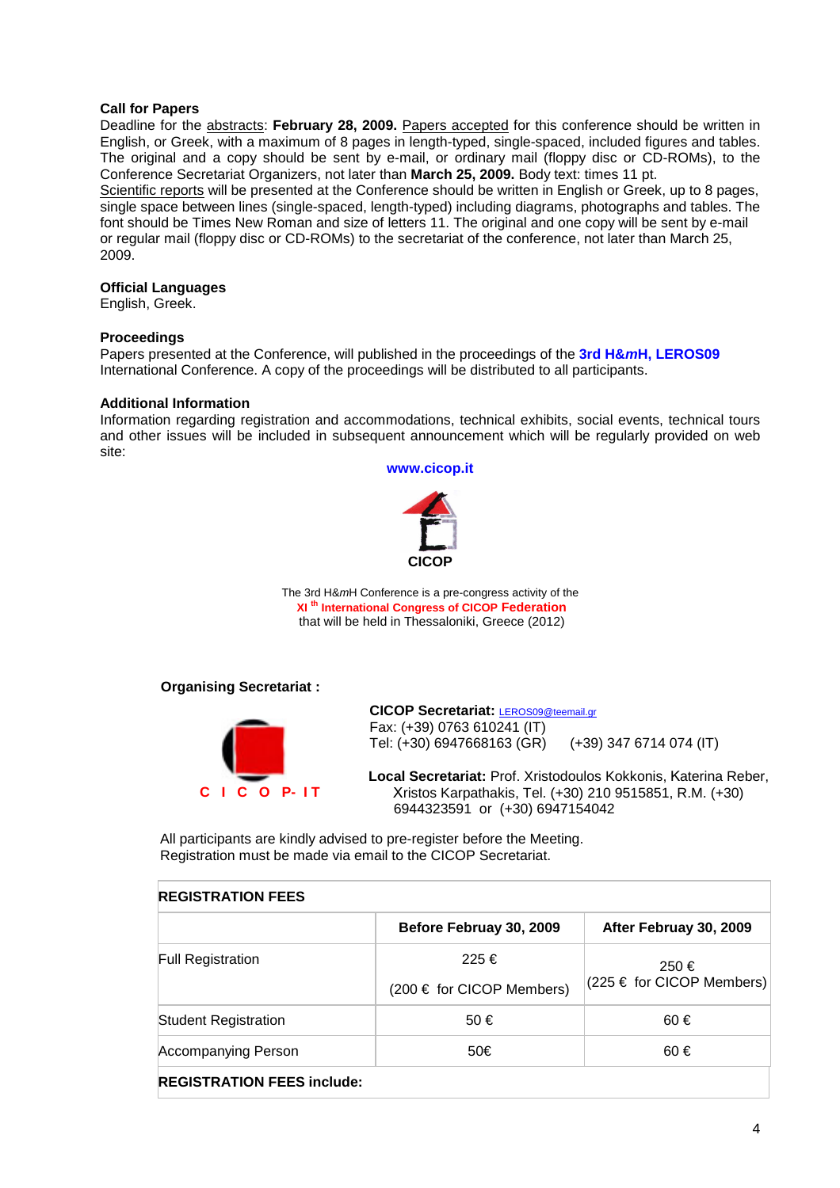#### **Call for Papers**

Deadline for the abstracts: February 28, 2009. Papers accepted for this conference should be written in English, or Greek, with a maximum of 8 pages in length-typed, single-spaced, included figures and tables. The original and a copy should be sent by e-mail, or ordinary mail (floppy disc or CD-ROMs), to the Conference Secretariat Organizers, not later than **March 25, 2009.** Body text: times 11 pt.

Scientific reports will be presented at the Conference should be written in English or Greek, up to 8 pages, single space between lines (single-spaced, length-typed) including diagrams, photographs and tables. The font should be Times New Roman and size of letters 11. The original and one copy will be sent by e-mail or regular mail (floppy disc or CD-ROMs) to the secretariat of the conference, not later than March 25, 2009.

#### **Official Languages**

English, Greek.

#### **Proceedings**

Papers presented at the Conference, will published in the proceedings of the **3rd H&mH, LEROS09** International Conference. A copy of the proceedings will be distributed to all participants.

#### **Additional Information**

Information regarding registration and accommodations, technical exhibits, social events, technical tours and other issues will be included in subsequent announcement which will be regularly provided on web site:

**www.cicop.it** 



The 3rd H&mH Conference is a pre-congress activity of the **XI th International Congress of CICOP Federation**  that will be held in Thessaloniki, Greece (2012)

**Organising Secretariat :** 



**CICOP Secretariat:** LEROS09@teemail.gr Fax: (+39) 0763 610241 (IT) Tel: (+30) 6947668163 (GR) (+39) 347 6714 074 (IT)

Local Secretariat: Prof. Xristodoulos Kokkonis, Katerina Reber, ristos Karpathakis, Tel. (+30) 210 9515851, R.M. (+30) 6944323591 or (+30) 6947154042

All participants are kindly advised to pre-register before the Meeting. Registration must be made via email to the CICOP Secretariat.

#### **REGISTRATION FEES**

|                                   | Before Februay 30, 2009       | After Februay 30, 2009                |  |
|-----------------------------------|-------------------------------|---------------------------------------|--|
| <b>Full Registration</b>          | 225 €                         | 250€<br>$(225 \in$ for CICOP Members) |  |
|                                   | $(200 \in$ for CICOP Members) |                                       |  |
| <b>Student Registration</b>       | 50€                           | $60 \in$                              |  |
| <b>Accompanying Person</b>        | 50€                           | 60€                                   |  |
| <b>REGISTRATION FEES include:</b> |                               |                                       |  |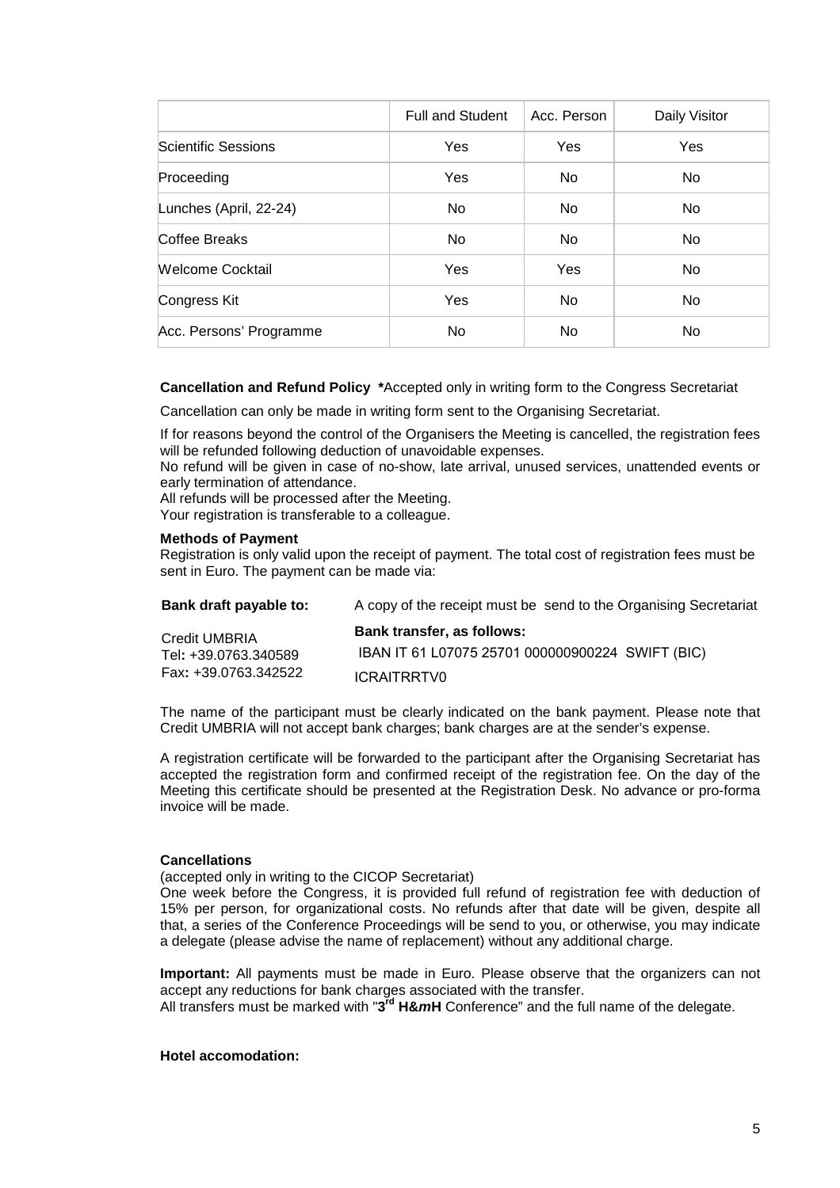|                         | <b>Full and Student</b> | Acc. Person | Daily Visitor |
|-------------------------|-------------------------|-------------|---------------|
| Scientific Sessions     | Yes                     | Yes         | <b>Yes</b>    |
| Proceeding              | Yes                     | No          | No.           |
| Lunches (April, 22-24)  | <b>No</b>               | No          | No.           |
| Coffee Breaks           | No.                     | No.         | No.           |
| <b>Welcome Cocktail</b> | Yes                     | Yes         | No.           |
| Congress Kit            | Yes                     | <b>No</b>   | No.           |
| Acc. Persons' Programme | No.                     | No.         | No.           |

**Cancellation and Refund Policy \***Accepted only in writing form to the Congress Secretariat

Cancellation can only be made in writing form sent to the Organising Secretariat.

ICRAITRRTV0

If for reasons beyond the control of the Organisers the Meeting is cancelled, the registration fees will be refunded following deduction of unavoidable expenses.

No refund will be given in case of no-show, late arrival, unused services, unattended events or early termination of attendance.

All refunds will be processed after the Meeting.

Your registration is transferable to a colleague.

#### **Methods of Payment**

Registration is only valid upon the receipt of payment. The total cost of registration fees must be sent in Euro. The payment can be made via:

| Bank draft payable to:                | A copy of the receipt must be send to the Organising Secretariat |
|---------------------------------------|------------------------------------------------------------------|
| Credit UMBRIA<br>Tel: +39.0763.340589 | Bank transfer, as follows:                                       |
|                                       | IBAN IT 61 L07075 25701 000000900224 SWIFT (BIC)                 |
| Fax: +39.0763.342522                  | ICDAITDDTVA                                                      |

The name of the participant must be clearly indicated on the bank payment. Please note that Credit UMBRIA will not accept bank charges; bank charges are at the sender's expense.

A registration certificate will be forwarded to the participant after the Organising Secretariat has accepted the registration form and confirmed receipt of the registration fee. On the day of the Meeting this certificate should be presented at the Registration Desk. No advance or pro-forma invoice will be made.

#### **Cancellations**

(accepted only in writing to the CICOP Secretariat)

One week before the Congress, it is provided full refund of registration fee with deduction of 15% per person, for organizational costs. No refunds after that date will be given, despite all that, a series of the Conference Proceedings will be send to you, or otherwise, you may indicate a delegate (please advise the name of replacement) without any additional charge.

**Important:** All payments must be made in Euro. Please observe that the organizers can not accept any reductions for bank charges associated with the transfer.

All transfers must be marked with "**3 rd H&mH** Conference" and the full name of the delegate.

### **Hotel accomodation:**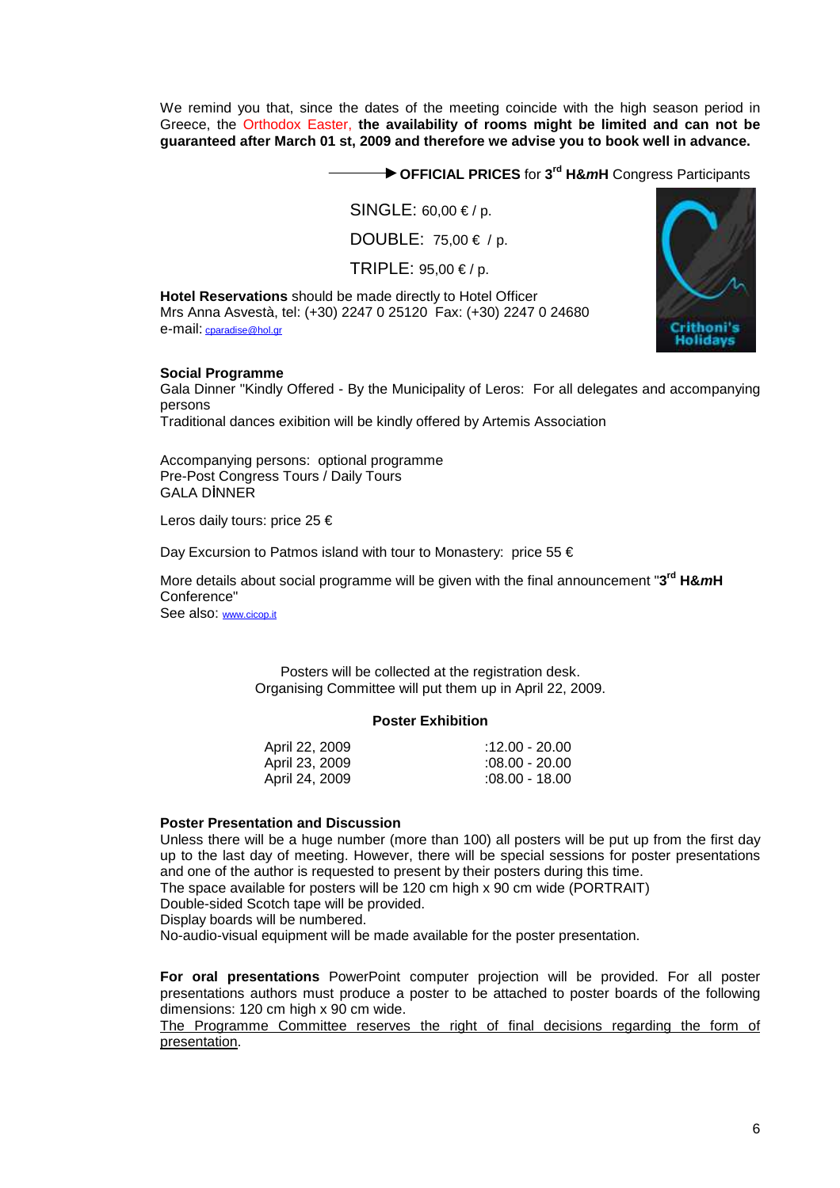We remind you that, since the dates of the meeting coincide with the high season period in Greece, the Orthodox Easter, **the availability of rooms might be limited and can not be guaranteed after March 01 st, 2009 and therefore we advise you to book well in advance.** 

**OFFICIAL PRICES** for **3 rd H&mH** Congress Participants

 $SINGLE: 60.00 \in /p$ .

DOUBLE: 75,00 € / p.

TRIPLE:  $95,00 \le p$ .

**Hotel Reservations** should be made directly to Hotel Officer Mrs Anna Asvestà, tel: (+30) 2247 0 25120 Fax: (+30) 2247 0 24680 e-mail: cparadise@hol.gr



#### **Social Programme**

Gala Dinner "Kindly Offered - By the Municipality of Leros: For all delegates and accompanying persons

Traditional dances exibition will be kindly offered by Artemis Association

Accompanying persons: optional programme Pre-Post Congress Tours / Daily Tours **GALA DINNER** 

Leros daily tours: price 25 €

Day Excursion to Patmos island with tour to Monastery: price 55 €

More details about social programme will be given with the final announcement "**3 rd H&mH** Conference"

See also: www.cicop.it

Posters will be collected at the registration desk. Organising Committee will put them up in April 22, 2009.

#### **Poster Exhibition**

| April 22, 2009 | :12.00 - 20.00   |
|----------------|------------------|
| April 23, 2009 | $:08.00 - 20.00$ |
| April 24, 2009 | $:08.00 - 18.00$ |

#### **Poster Presentation and Discussion**

Unless there will be a huge number (more than 100) all posters will be put up from the first day up to the last day of meeting. However, there will be special sessions for poster presentations and one of the author is requested to present by their posters during this time. The space available for posters will be 120 cm high x 90 cm wide (PORTRAIT)

Double-sided Scotch tape will be provided.

Display boards will be numbered.

No-audio-visual equipment will be made available for the poster presentation.

**For oral presentations** PowerPoint computer projection will be provided. For all poster presentations authors must produce a poster to be attached to poster boards of the following dimensions: 120 cm high x 90 cm wide.

The Programme Committee reserves the right of final decisions regarding the form of presentation.